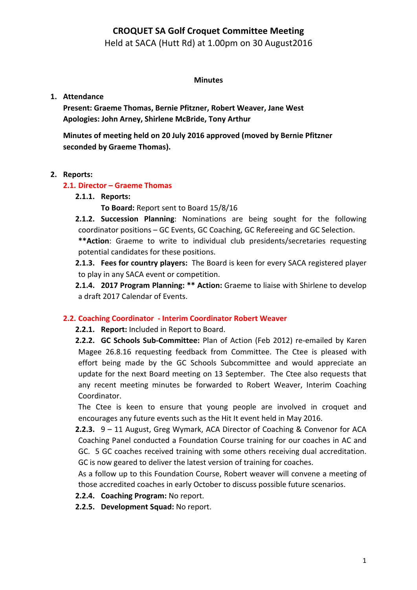## **CROQUET SA Golf Croquet Committee Meeting**

Held at SACA (Hutt Rd) at 1.00pm on 30 August2016

#### **Minutes**

## **1. Attendance**

Present: Graeme Thomas, Bernie Pfitzner, Robert Weaver, Jane West Apologies: John Arney, Shirlene McBride, Tony Arthur

**Minutes of meeting held on 20 July 2016 approved (moved by Bernie Pfitzner** seconded by Graeme Thomas).

## **2. Reports:**

## **2.1. Director - Graeme Thomas**

- **2.1.1. Reports:**
	- **To Board:** Report sent to Board 15/8/16
- **2.1.2. Succession Planning**: Nominations are being sought for the following coordinator positions - GC Events, GC Coaching, GC Refereeing and GC Selection.

\*\* Action: Graeme to write to individual club presidents/secretaries requesting potential candidates for these positions.

**2.1.3.** Fees for country players: The Board is keen for every SACA registered player to play in any SACA event or competition.

**2.1.4. 2017 Program Planning: \*\* Action:** Graeme to liaise with Shirlene to develop a draft 2017 Calendar of Events.

## **2.2. Coaching Coordinator - Interim Coordinator Robert Weaver**

**2.2.1. Report:** Included in Report to Board.

**2.2.2. GC Schools Sub-Committee:** Plan of Action (Feb 2012) re-emailed by Karen Magee 26.8.16 requesting feedback from Committee. The Ctee is pleased with effort being made by the GC Schools Subcommittee and would appreciate an update for the next Board meeting on 13 September. The Ctee also requests that any recent meeting minutes be forwarded to Robert Weaver, Interim Coaching Coordinator.

The Ctee is keen to ensure that young people are involved in croquet and encourages any future events such as the Hit It event held in May 2016.

**2.2.3.**  $9 - 11$  August, Greg Wymark, ACA Director of Coaching & Convenor for ACA Coaching Panel conducted a Foundation Course training for our coaches in AC and GC. 5 GC coaches received training with some others receiving dual accreditation. GC is now geared to deliver the latest version of training for coaches.

As a follow up to this Foundation Course, Robert weaver will convene a meeting of those accredited coaches in early October to discuss possible future scenarios.

**2.2.4. Coaching Program:** No report.

**2.2.5. Development Squad:** No report.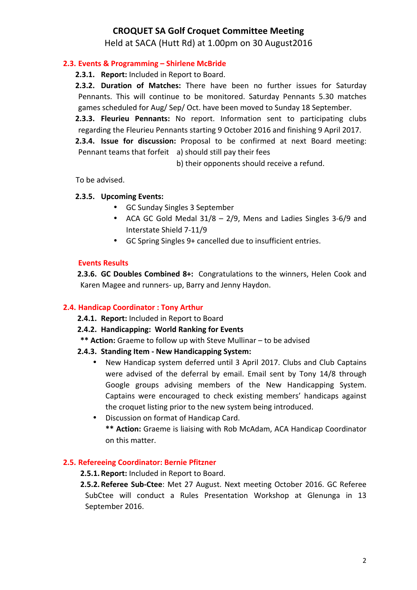## **CROQUET SA Golf Croquet Committee Meeting**

Held at SACA (Hutt Rd) at 1.00pm on 30 August2016

## **2.3. Events & Programming – Shirlene McBride**

**2.3.1. Report:** Included in Report to Board.

**2.3.2. Duration of Matches:** There have been no further issues for Saturday Pennants. This will continue to be monitored. Saturday Pennants 5.30 matches games scheduled for Aug/ Sep/ Oct. have been moved to Sunday 18 September.

**2.3.3. Fleurieu Pennants:** No report. Information sent to participating clubs regarding the Fleurieu Pennants starting 9 October 2016 and finishing 9 April 2017.

**2.3.4. Issue for discussion:** Proposal to be confirmed at next Board meeting: Pennant teams that forfeit a) should still pay their fees

b) their opponents should receive a refund.

To be advised.

## **2.3.5. Upcoming Events:**

- GC Sunday Singles 3 September
- ACA GC Gold Medal  $31/8 2/9$ , Mens and Ladies Singles 3-6/9 and Interstate Shield 7-11/9
- GC Spring Singles 9+ cancelled due to insufficient entries.

#### **Events Results**

**2.3.6. GC Doubles Combined 8+:** Congratulations to the winners, Helen Cook and Karen Magee and runners- up, Barry and Jenny Haydon.

## **2.4. Handicap Coordinator: Tony Arthur**

- **2.4.1. Report:** Included in Report to Board
- **2.4.2. Handicapping: World Ranking for Events**
- **\*\* Action:** Graeme to follow up with Steve Mullinar to be advised

## **2.4.3. Standing Item - New Handicapping System:**

- New Handicap system deferred until 3 April 2017. Clubs and Club Captains were advised of the deferral by email. Email sent by Tony 14/8 through Google groups advising members of the New Handicapping System. Captains were encouraged to check existing members' handicaps against the croquet listing prior to the new system being introduced.
- Discussion on format of Handicap Card. \*\* Action: Graeme is liaising with Rob McAdam, ACA Handicap Coordinator

# on this matter.

## **2.5. Refereeing Coordinator: Bernie Pfitzner**

**2.5.1. Report:** Included in Report to Board.

2.5.2. Referee Sub-Ctee: Met 27 August. Next meeting October 2016. GC Referee SubCtee will conduct a Rules Presentation Workshop at Glenunga in 13 September 2016.